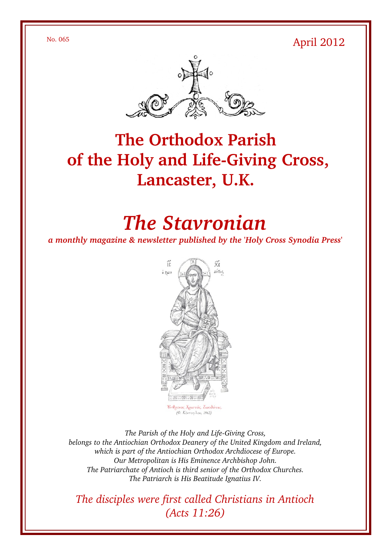$N<sub>0</sub>$ . 065 April 2012



# **The Orthodox Parish** of the Holy and Life-Giving Cross, **Lancaster, U.K.**

# *The Stavronian*

*a monthly magazine & newsletter published by the 'Holy Cross Synodia Press'*



The Parish of the Holy and Life-Giving Cross, *belongs to the Antiochian Orthodox Deanery of the United Kingdom and Ireland, which is part of the Antiochian Orthodox Archdiocese of Europe. Our Metropolitan is His Eminence Archbishop John. The Patriarchate of Antioch is third senior of the Orthodox Churches. The Patriarch is His Beatitude Ignatius IV.*

*The disciples were first called Christians in Antioch (Acts 11:26)*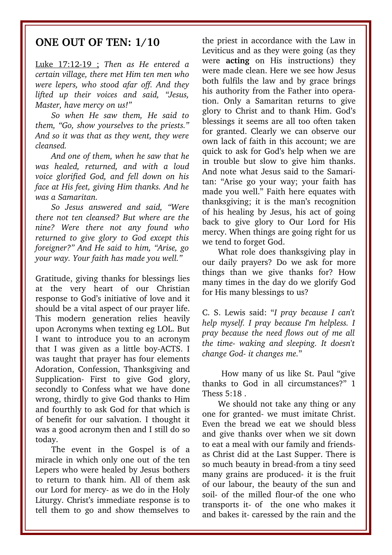### **ONE OUT OF TEN: 1/10**

Luke 17:1219 ; *Then as He entered a certain village, there met Him ten men who were lepers, who stood afar off. And they lifted up their voices and said, "Jesus, Master, have mercy on us!"* 

*So when He saw them, He said to them, "Go, show yourselves to the priests." And so it was that as they went, they were cleansed.*

*And one of them, when he saw that he was healed, returned, and with a loud voice glorified God, and fell down on his face at His feet, giving Him thanks. And he was a Samaritan.*

*So Jesus answered and said, "Were there not ten cleansed? But where are the nine? Were there not any found who returned to give glory to God except this foreigner?" And He said to him, "Arise, go your way. Your faith has made you well."* 

Gratitude, giving thanks for blessings lies at the very heart of our Christian response to God's initiative of love and it should be a vital aspect of our prayer life. This modern generation relies heavily upon Acronyms when texting eg LOL. But I want to introduce you to an acronym that I was given as a little boy-ACTS. I was taught that prayer has four elements Adoration, Confession, Thanksgiving and Supplication- First to give God glory, secondly to Confess what we have done wrong, thirdly to give God thanks to Him and fourthly to ask God for that which is of benefit for our salvation. I thought it was a good acronym then and I still do so today.

The event in the Gospel is of a miracle in which only one out of the ten Lepers who were healed by Jesus bothers to return to thank him. All of them ask our Lord for mercy- as we do in the Holy Liturgy. Christ's immediate response is to tell them to go and show themselves to

the priest in accordance with the Law in Leviticus and as they were going (as they were **acting** on His instructions) they were made clean. Here we see how Jesus both fulfils the law and by grace brings his authority from the Father into operation. Only a Samaritan returns to give glory to Christ and to thank Him. God's blessings it seems are all too often taken for granted. Clearly we can observe our own lack of faith in this account; we are quick to ask for God's help when we are in trouble but slow to give him thanks. And note what Jesus said to the Samaritan: "Arise go your way; your faith has made you well." Faith here equates with thanksgiving; it is the man's recognition of his healing by Jesus, his act of going back to give glory to Our Lord for His mercy. When things are going right for us we tend to forget God.

What role does thanksgiving play in our daily prayers? Do we ask for more things than we give thanks for? How many times in the day do we glorify God for His many blessings to us?

C. S. Lewis said: "*I pray because I can't help myself. I pray because I'm helpless. I pray because the need flows out of me all the time waking and sleeping. It doesn't change God- it changes me."* 

 How many of us like St. Paul "give thanks to God in all circumstances?" 1 Thess 5:18 .

We should not take any thing or any one for granted- we must imitate Christ. Even the bread we eat we should bless and give thanks over when we sit down to eat a meal with our family and friendsas Christ did at the Last Supper. There is so much beauty in bread-from a tiny seed many grains are produced- it is the fruit of our labour, the beauty of the sun and soil- of the milled flour-of the one who transports it of the one who makes it and bakes it- caressed by the rain and the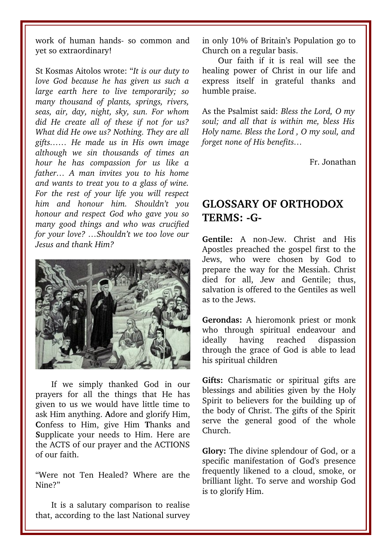work of human hands- so common and yet so extraordinary!

St Kosmas Aitolos wrote: "*It is our duty to love God because he has given us such a large earth here to live temporarily; so many thousand of plants, springs, rivers, seas, air, day, night, sky, sun. For whom did He create all of these if not for us? What did He owe us? Nothing. They are all gifts…… He made us in His own image although we sin thousands of times an hour he has compassion for us like a father… A man invites you to his home and wants to treat you to a glass of wine. For the rest of your life you will respect him and honour him. Shouldn't you honour and respect God who gave you so many good things and who was crucified for your love? …Shouldn't we too love our Jesus and thank Him?* 



If we simply thanked God in our prayers for all the things that He has given to us we would have little time to ask Him anything. **A**dore and glorify Him, **C**onfess to Him, give Him **T**hanks and **S**upplicate your needs to Him. Here are the ACTS of our prayer and the ACTIONS of our faith.

"Were not Ten Healed? Where are the Nine?"

It is a salutary comparison to realise that, according to the last National survey in only 10% of Britain's Population go to Church on a regular basis.

Our faith if it is real will see the healing power of Christ in our life and express itself in grateful thanks and humble praise.

As the Psalmist said: *Bless the Lord, O my soul; and all that is within me, bless His Holy name. Bless the Lord , O my soul, and forget none of His benefits…*

Fr. Jonathan

# **GLOSSARY OF ORTHODOX TERMS: G-**

Gentile: A non-Jew. Christ and His Apostles preached the gospel first to the Jews, who were chosen by God to prepare the way for the Messiah. Christ died for all, Jew and Gentile: thus, salvation is offered to the Gentiles as well as to the Jews.

**Gerondas:** A hieromonk priest or monk who through spiritual endeavour and ideally having reached dispassion through the grace of God is able to lead his spiritual children

Gifts: Charismatic or spiritual gifts are blessings and abilities given by the Holy Spirit to believers for the building up of the body of Christ. The gifts of the Spirit serve the general good of the whole Church.

**Glory:** The divine splendour of God, or a specific manifestation of God's presence frequently likened to a cloud, smoke, or brilliant light. To serve and worship God is to glorify Him.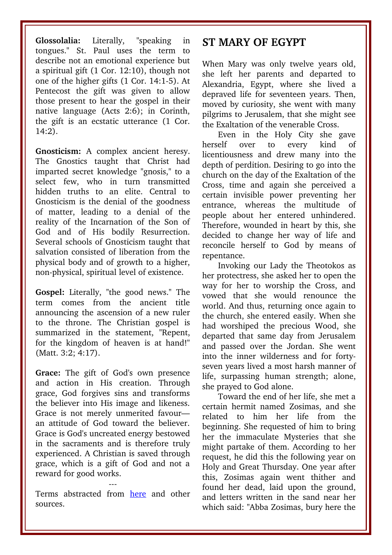**Glossolalia:** Literally, "speaking in tongues." St. Paul uses the term to describe not an emotional experience but a spiritual gift (1 Cor. 12:10), though not one of the higher gifts (1 Cor. 14:1-5). At Pentecost the gift was given to allow those present to hear the gospel in their native language (Acts 2:6); in Corinth, the gift is an ecstatic utterance (1 Cor. 14:2).

Gnosticism: A complex ancient heresy. The Gnostics taught that Christ had imparted secret knowledge "gnosis," to a select few, who in turn transmitted hidden truths to an elite. Central to Gnosticism is the denial of the goodness of matter, leading to a denial of the reality of the Incarnation of the Son of God and of His bodily Resurrection. Several schools of Gnosticism taught that salvation consisted of liberation from the physical body and of growth to a higher, non-physical, spiritual level of existence.

**Gospel:** Literally, "the good news." The term comes from the ancient title announcing the ascension of a new ruler to the throne. The Christian gospel is summarized in the statement, "Repent, for the kingdom of heaven is at hand!" (Matt. 3:2; 4:17).

Grace: The gift of God's own presence and action in His creation. Through grace, God forgives sins and transforms the believer into His image and likeness. Grace is not merely unmerited favour an attitude of God toward the believer. Grace is God's uncreated energy bestowed in the sacraments and is therefore truly experienced. A Christian is saved through grace, which is a gift of God and not a reward for good works.

--Terms abstracted from [here](http://www.antiochian.org/orthodox-church-terms-a-g) and other sources.

## **ST MARY OF EGYPT**

When Mary was only twelve years old, she left her parents and departed to Alexandria, Egypt, where she lived a depraved life for seventeen years. Then, moved by curiosity, she went with many pilgrims to Jerusalem, that she might see the Exaltation of the venerable Cross.

Even in the Holy City she gave herself over to every kind of licentiousness and drew many into the depth of perdition. Desiring to go into the church on the day of the Exaltation of the Cross, time and again she perceived a certain invisible power preventing her entrance, whereas the multitude of people about her entered unhindered. Therefore, wounded in heart by this, she decided to change her way of life and reconcile herself to God by means of repentance.

Invoking our Lady the Theotokos as her protectress, she asked her to open the way for her to worship the Cross, and vowed that she would renounce the world. And thus, returning once again to the church, she entered easily. When she had worshiped the precious Wood, she departed that same day from Jerusalem and passed over the Jordan. She went into the inner wilderness and for fortyseven years lived a most harsh manner of life, surpassing human strength; alone, she prayed to God alone.

Toward the end of her life, she met a certain hermit named Zosimas, and she related to him her life from the beginning. She requested of him to bring her the immaculate Mysteries that she might partake of them. According to her request, he did this the following year on Holy and Great Thursday. One year after this, Zosimas again went thither and found her dead, laid upon the ground, and letters written in the sand near her which said: "Abba Zosimas, bury here the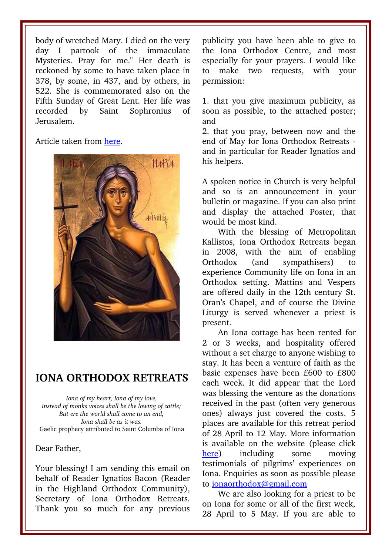body of wretched Mary. I died on the very day I partook of the immaculate Mysteries. Pray for me." Her death is reckoned by some to have taken place in 378, by some, in 437, and by others, in 522. She is commemorated also on the Fifth Sunday of Great Lent. Her life was recorded by Saint Sophronius of Jerusalem.

Article taken from [here.](http://www.goarch.org/chapel/saints_view?contentid=2)



## **IONA ORTHODOX RETREATS**

*Iona of my heart, Iona of my love, Instead of monks voices shall be the lowing of cattle; But ere the world shall come to an end, Iona shall be as it was.*  Gaelic prophecy attributed to Saint Columba of Iona

#### Dear Father,

Your blessing! I am sending this email on behalf of Reader Ignatios Bacon (Reader in the Highland Orthodox Community), Secretary of Iona Orthodox Retreats. Thank you so much for any previous publicity you have been able to give to the Iona Orthodox Centre, and most especially for your prayers. I would like to make two requests, with your permission:

1. that you give maximum publicity, as soon as possible, to the attached poster; and

2. that you pray, between now and the end of May for Iona Orthodox Retreats and in particular for Reader Ignatios and his helpers.

A spoken notice in Church is very helpful and so is an announcement in your bulletin or magazine. If you can also print and display the attached Poster, that would be most kind.

With the blessing of Metropolitan Kallistos, Iona Orthodox Retreats began in 2008, with the aim of enabling Orthodox (and sympathisers) to experience Community life on Iona in an Orthodox setting. Mattins and Vespers are offered daily in the 12th century St. Oran's Chapel, and of course the Divine Liturgy is served whenever a priest is present.

An Iona cottage has been rented for 2 or 3 weeks, and hospitality offered without a set charge to anyone wishing to stay. It has been a venture of faith as the basic expenses have been £600 to £800 each week. It did appear that the Lord was blessing the venture as the donations received in the past (often very generous ones) always just covered the costs. 5 places are available for this retreat period of 28 April to 12 May. More information is available on the website (please click [here\)](http://www.iona-orthodox-retreats.org.uk/) including some moving testimonials of pilgrims' experiences on Iona. Enquiries as soon as possible please to [ionaorthodox@gmail.com](mailto:ionaorthodox@gmail.com)

We are also looking for a priest to be on Iona for some or all of the first week, 28 April to 5 May. If you are able to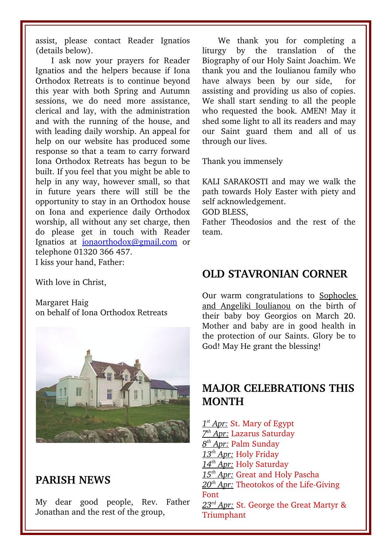assist, please contact Reader Ignatios (details below).

I ask now your prayers for Reader Ignatios and the helpers because if Iona Orthodox Retreats is to continue beyond this year with both Spring and Autumn sessions, we do need more assistance, clerical and lay, with the administration and with the running of the house, and with leading daily worship. An appeal for help on our website has produced some response so that a team to carry forward Iona Orthodox Retreats has begun to be built. If you feel that you might be able to help in any way, however small, so that in future years there will still be the opportunity to stay in an Orthodox house on Iona and experience daily Orthodox worship, all without any set charge, then do please get in touch with Reader Ignatios at [ionaorthodox@gmail.com](mailto:ionaorthodox@gmail.com) or telephone 01320 366 457. I kiss your hand, Father:

With love in Christ,

Margaret Haig on behalf of Iona Orthodox Retreats



### **PARISH NEWS**

My dear good people, Rev. Father Jonathan and the rest of the group,

We thank you for completing a liturgy by the translation of the Biography of our Holy Saint Joachim. We thank you and the Ioulianou family who have always been by our side, for assisting and providing us also of copies. We shall start sending to all the people who requested the book. AMEN! May it shed some light to all its readers and may our Saint guard them and all of us through our lives.

Thank you immensely

KALI SARAKOSTI and may we walk the path towards Holy Easter with piety and self acknowledgement.

GOD BLESS,

Father Theodosios and the rest of the team.

## **OLD STAVRONIAN CORNER**

Our warm congratulations to Sophocles and Angeliki Ioulianou on the birth of their baby boy Georgios on March 20. Mother and baby are in good health in the protection of our Saints. Glory be to God! May He grant the blessing!

## **MAJOR CELEBRATIONS THIS MONTH**

 *1 st Apr:* St. Mary of Egypt  *7 th Apr:* Lazarus Saturday  *8 th Apr:* Palm Sunday  *13th Apr:* Holy Friday  *14th Apr:* Holy Saturday  *15th Apr:* Great and Holy Pascha 20<sup>th</sup> Apr: Theotokos of the Life-Giving Font  *23rd Apr:* St. George the Great Martyr & Triumphant